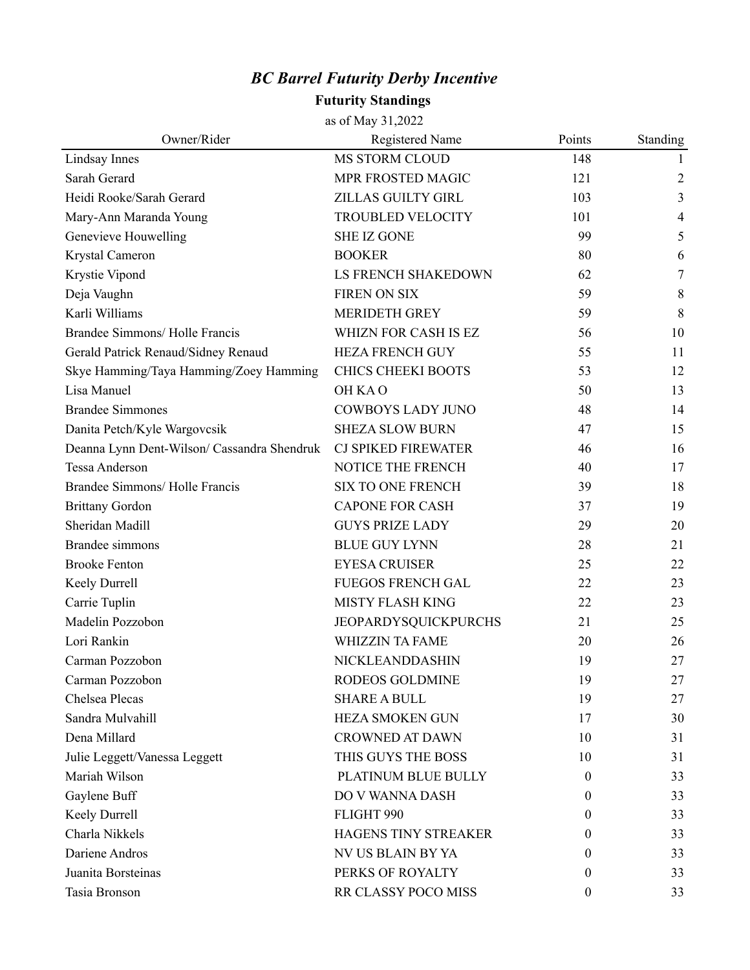## *BC Barrel Futurity Derby Incentive*

## **Futurity Standings**

as of May 31,2022

| Owner/Rider                                 | Registered Name            | Points   | Standing       |
|---------------------------------------------|----------------------------|----------|----------------|
| Lindsay Innes                               | MS STORM CLOUD             | 148      | 1              |
| Sarah Gerard                                | MPR FROSTED MAGIC          | 121      | $\overline{2}$ |
| Heidi Rooke/Sarah Gerard                    | ZILLAS GUILTY GIRL         | 103      | 3              |
| Mary-Ann Maranda Young                      | <b>TROUBLED VELOCITY</b>   | 101      | $\overline{4}$ |
| Genevieve Houwelling                        | <b>SHE IZ GONE</b>         | 99       | 5              |
| Krystal Cameron                             | <b>BOOKER</b>              | 80       | 6              |
| Krystie Vipond                              | LS FRENCH SHAKEDOWN        | 62       | $\tau$         |
| Deja Vaughn                                 | <b>FIREN ON SIX</b>        | 59       | 8              |
| Karli Williams                              | <b>MERIDETH GREY</b>       | 59       | 8              |
| Brandee Simmons/Holle Francis               | WHIZN FOR CASH IS EZ       | 56       | 10             |
| Gerald Patrick Renaud/Sidney Renaud         | <b>HEZA FRENCH GUY</b>     | 55       | 11             |
| Skye Hamming/Taya Hamming/Zoey Hamming      | <b>CHICS CHEEKI BOOTS</b>  | 53       | 12             |
| Lisa Manuel                                 | OH KAO                     | 50       | 13             |
| <b>Brandee Simmones</b>                     | <b>COWBOYS LADY JUNO</b>   | 48       | 14             |
| Danita Petch/Kyle Wargovcsik                | <b>SHEZA SLOW BURN</b>     | 47       | 15             |
| Deanna Lynn Dent-Wilson/ Cassandra Shendruk | <b>CJ SPIKED FIREWATER</b> | 46       | 16             |
| Tessa Anderson                              | NOTICE THE FRENCH          | 40       | 17             |
| Brandee Simmons/Holle Francis               | <b>SIX TO ONE FRENCH</b>   | 39       | 18             |
| <b>Brittany Gordon</b>                      | <b>CAPONE FOR CASH</b>     | 37       | 19             |
| Sheridan Madill                             | <b>GUYS PRIZE LADY</b>     | 29       | 20             |
| Brandee simmons                             | <b>BLUE GUY LYNN</b>       | 28       | 21             |
| <b>Brooke Fenton</b>                        | <b>EYESA CRUISER</b>       | 25       | 22             |
| Keely Durrell                               | <b>FUEGOS FRENCH GAL</b>   | 22       | 23             |
| Carrie Tuplin                               | MISTY FLASH KING           | 22       | 23             |
| Madelin Pozzobon                            | JEOPARDYSQUICKPURCHS       | 21       | 25             |
| Lori Rankin                                 | <b>WHIZZIN TA FAME</b>     | 20       | 26             |
| Carman Pozzobon                             | NICKLEANDDASHIN            | 19       | 27             |
| Carman Pozzobon                             | RODEOS GOLDMINE            | 19       | 27             |
| Chelsea Plecas                              | <b>SHARE A BULL</b>        | 19       | 27             |
| Sandra Mulvahill                            | <b>HEZA SMOKEN GUN</b>     | 17       | 30             |
| Dena Millard                                | <b>CROWNED AT DAWN</b>     | 10       | 31             |
| Julie Leggett/Vanessa Leggett               | THIS GUYS THE BOSS         | 10       | 31             |
| Mariah Wilson                               | PLATINUM BLUE BULLY        | $\theta$ | 33             |
| Gaylene Buff                                | DO V WANNA DASH            | 0        | 33             |
| Keely Durrell                               | FLIGHT 990                 | 0        | 33             |
| Charla Nikkels                              | HAGENS TINY STREAKER       | $\theta$ | 33             |
| Dariene Andros                              | NV US BLAIN BY YA          | $\theta$ | 33             |
| Juanita Borsteinas                          | PERKS OF ROYALTY           | 0        | 33             |
| Tasia Bronson                               | RR CLASSY POCO MISS        | 0        | 33             |